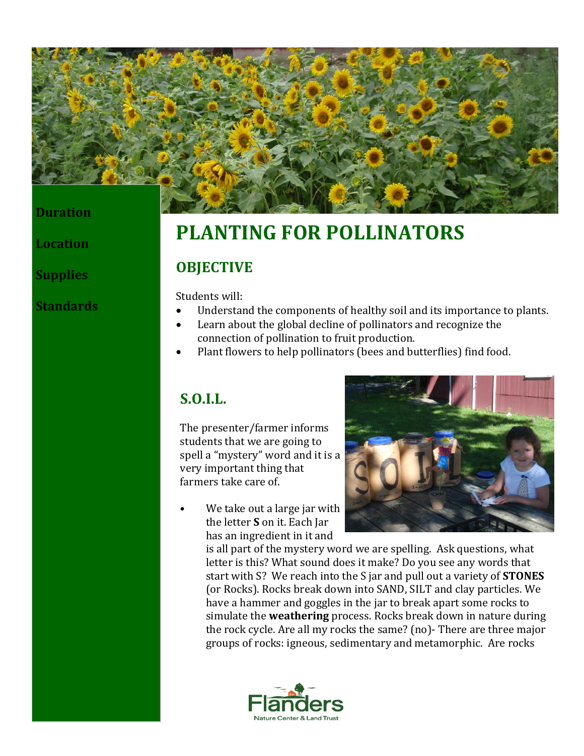

### **Duration**

**Location**

**Supplies**

**Standards**

# **PLANTING FOR POLLINATORS**

### **OBJECTIVE**

Students will:

- Understand the components of healthy soil and its importance to plants.
- Learn about the global decline of pollinators and recognize the connection of pollination to fruit production.
- Plant flowers to help pollinators (bees and butterflies) find food.

## **S.O.I.L.**

The presenter/farmer informs students that we are going to spell a "mystery" word and it is a very important thing that farmers take care of.

We take out a large jar with the letter **S** on it. Each Jar has an ingredient in it and



is all part of the mystery word we are spelling. Ask questions, what letter is this? What sound does it make? Do you see any words that start with S? We reach into the S jar and pull out a variety of **STONES** (or Rocks). Rocks break down into SAND, SILT and clay particles. We have a hammer and goggles in the jar to break apart some rocks to simulate the **weathering** process. Rocks break down in nature during the rock cycle. Are all my rocks the same? (no)- There are three major groups of rocks: igneous, sedimentary and metamorphic. Are rocks

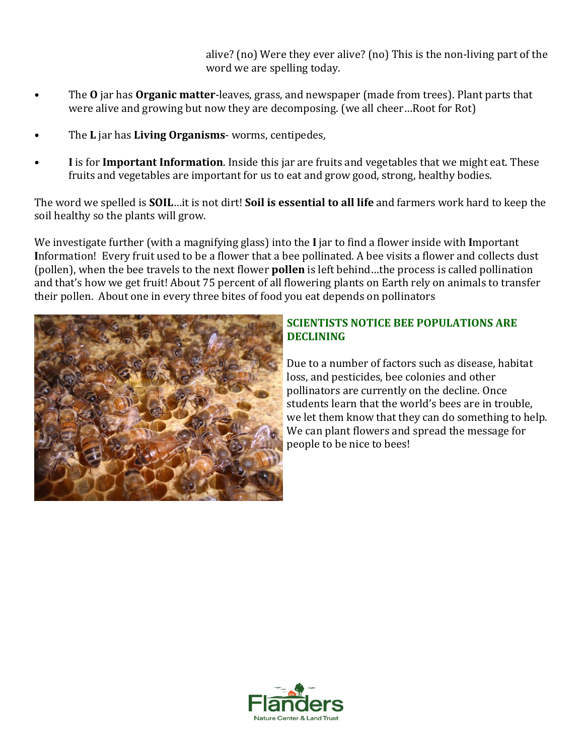alive? (no) Were they ever alive? (no) This is the non-living part of the word we are spelling today.

- The **O** jar has **Organic matter**-leaves, grass, and newspaper (made from trees). Plant parts that were alive and growing but now they are decomposing. (we all cheer…Root for Rot)
- The **L** jar has **Living Organisms** worms, centipedes,
- **I** is for **Important Information**. Inside this jar are fruits and vegetables that we might eat. These fruits and vegetables are important for us to eat and grow good, strong, healthy bodies.

The word we spelled is **SOIL**…it is not dirt! **Soil is essential to all life** and farmers work hard to keep the soil healthy so the plants will grow.

We investigate further (with a magnifying glass) into the **I** jar to find a flower inside with **I**mportant **I**nformation! Every fruit used to be a flower that a bee pollinated. A bee visits a flower and collects dust (pollen), when the bee travels to the next flower **pollen** is left behind…the process is called pollination and that's how we get fruit! About 75 percent of all flowering plants on Earth rely on animals to transfer their pollen. About one in every three bites of food you eat depends on pollinators



### **SCIENTISTS NOTICE BEE POPULATIONS ARE DECLINING**

Due to a number of factors such as disease, habitat loss, and pesticides, bee colonies and other pollinators are currently on the decline. Once students learn that the world's bees are in trouble, we let them know that they can do something to help. We can plant flowers and spread the message for people to be nice to bees!

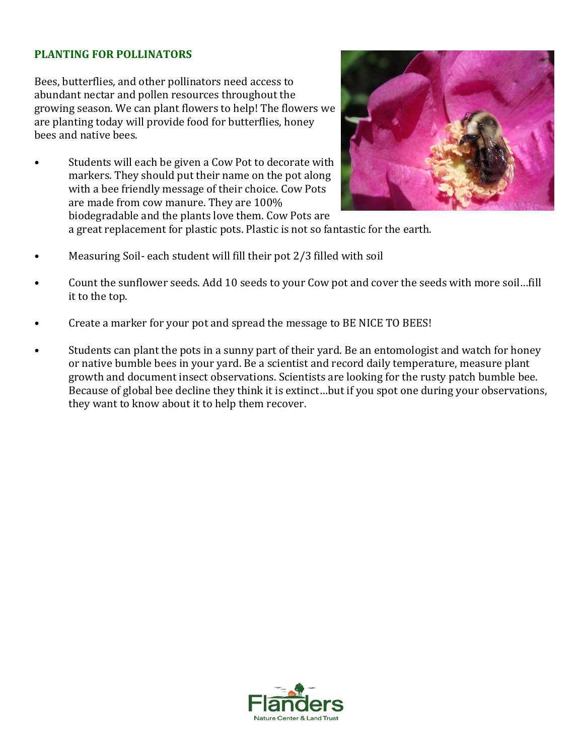### **PLANTING FOR POLLINATORS**

Bees, butterflies, and other pollinators need access to abundant nectar and pollen resources throughout the growing season. We can plant flowers to help! The flowers we are planting today will provide food for butterflies, honey bees and native bees.

Students will each be given a Cow Pot to decorate with markers. They should put their name on the pot along with a bee friendly message of their choice. Cow Pots are made from cow manure. They are 100% biodegradable and the plants love them. Cow Pots are



a great replacement for plastic pots. Plastic is not so fantastic for the earth.

- Measuring Soil- each student will fill their pot 2/3 filled with soil
- Count the sunflower seeds. Add 10 seeds to your Cow pot and cover the seeds with more soil…fill it to the top.
- Create a marker for your pot and spread the message to BE NICE TO BEES!
- Students can plant the pots in a sunny part of their yard. Be an entomologist and watch for honey or native bumble bees in your yard. Be a scientist and record daily temperature, measure plant growth and document insect observations. Scientists are looking for the rusty patch bumble bee. Because of global bee decline they think it is extinct…but if you spot one during your observations, they want to know about it to help them recover.

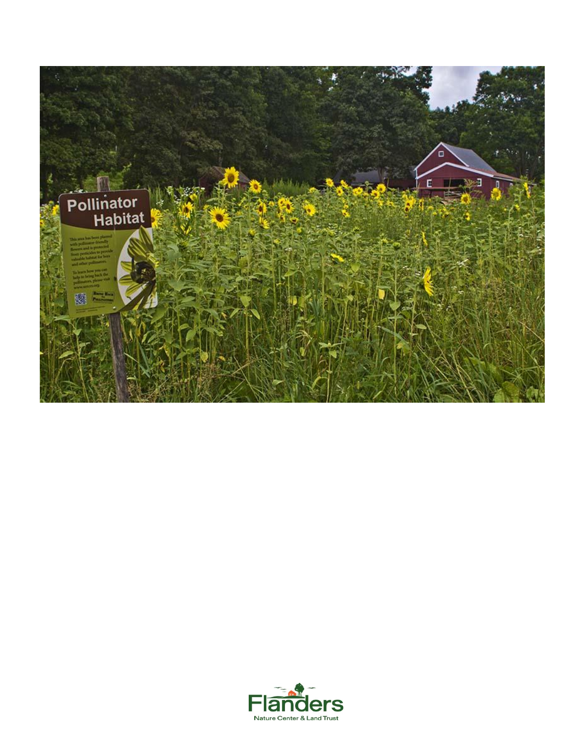

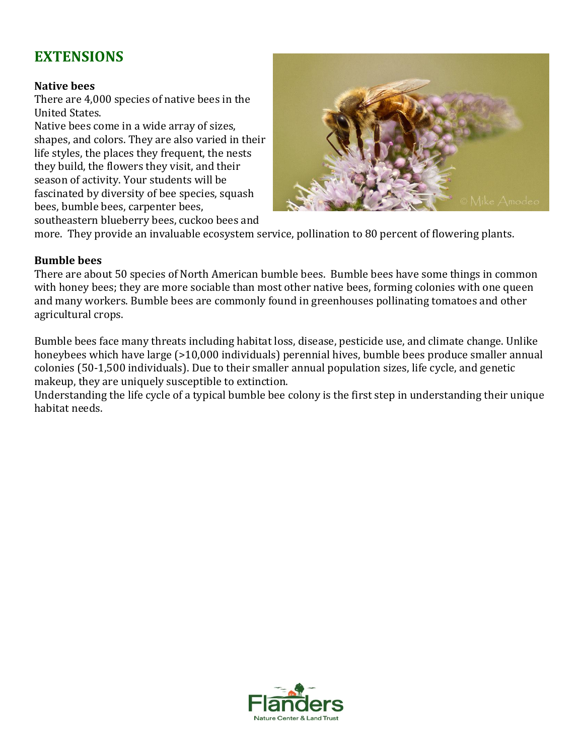# **EXTENSIONS**

#### **Native bees**

There are 4,000 species of native bees in the United States.

Native bees come in a wide array of sizes, shapes, and colors. They are also varied in their life styles, the places they frequent, the nests they build, the flowers they visit, and their season of activity. Your students will be fascinated by diversity of bee species, squash bees, bumble bees, carpenter bees, southeastern blueberry bees, cuckoo bees and



more. They provide an invaluable ecosystem service, pollination to 80 percent of flowering plants.

### **Bumble bees**

There are about 50 species of North American bumble bees. Bumble bees have some things in common with honey bees; they are more sociable than most other native bees, forming colonies with one queen and many workers. Bumble bees are commonly found in greenhouses pollinating tomatoes and other agricultural crops.

Bumble bees face many threats including habitat loss, disease, pesticide use, and climate change. Unlike honeybees which have large (>10,000 individuals) perennial hives, bumble bees produce smaller annual colonies (50-1,500 individuals). Due to their smaller annual population sizes, life cycle, and genetic makeup, they are uniquely susceptible to extinction.

Understanding the life cycle of a typical bumble bee colony is the first step in understanding their unique habitat needs.

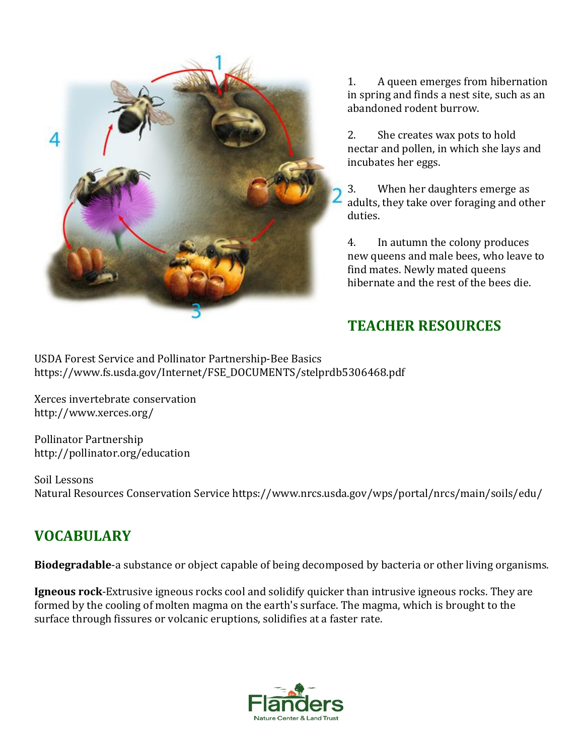

1. A queen emerges from hibernation in spring and finds a nest site, such as an abandoned rodent burrow.

2. She creates wax pots to hold nectar and pollen, in which she lays and incubates her eggs.

3. When her daughters emerge as adults, they take over foraging and other duties.

4. In autumn the colony produces new queens and male bees, who leave to find mates. Newly mated queens hibernate and the rest of the bees die.

## **TEACHER RESOURCES**

USDA Forest Service and Pollinator Partnership-Bee Basics https://www.fs.usda.gov/Internet/FSE\_DOCUMENTS/stelprdb5306468.pdf

Xerces invertebrate conservation http://www.xerces.org/

Pollinator Partnership http://pollinator.org/education

Soil Lessons Natural Resources Conservation Service https://www.nrcs.usda.gov/wps/portal/nrcs/main/soils/edu/

# **VOCABULARY**

**Biodegradable**-a substance or object capable of being decomposed by bacteria or other living organisms.

**Igneous rock**-Extrusive igneous rocks cool and solidify quicker than intrusive igneous rocks. They are formed by the cooling of molten magma on the earth's surface. The magma, which is brought to the surface through fissures or volcanic eruptions, solidifies at a faster rate.

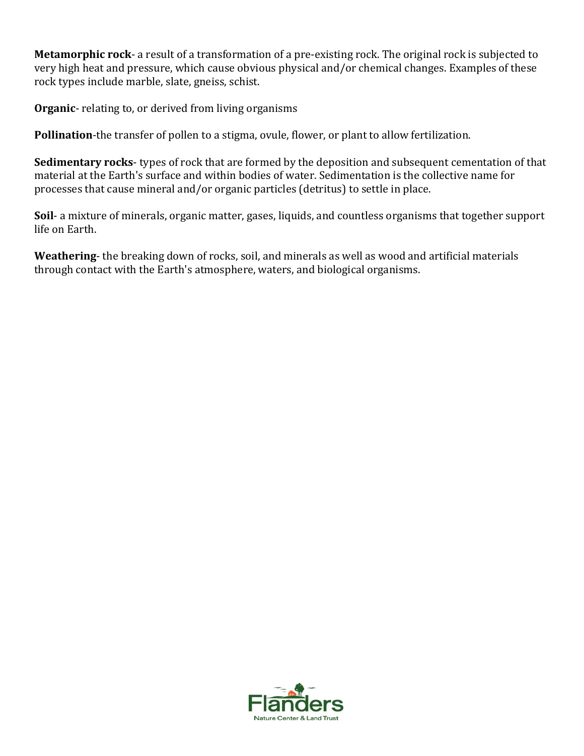**Metamorphic rock**- a result of a transformation of a pre-existing rock. The original rock is subjected to very high heat and pressure, which cause obvious physical and/or chemical changes. Examples of these rock types include marble, slate, gneiss, schist.

**Organic**- relating to, or derived from living organisms

**Pollination**-the transfer of pollen to a stigma, ovule, flower, or plant to allow fertilization.

**Sedimentary rocks**- types of rock that are formed by the deposition and subsequent cementation of that material at the Earth's surface and within bodies of water. Sedimentation is the collective name for processes that cause mineral and/or organic particles (detritus) to settle in place.

**Soil**- a mixture of minerals, organic matter, gases, liquids, and countless organisms that together support life on Earth.

**Weathering**- the breaking down of rocks, soil, and minerals as well as wood and artificial materials through contact with the Earth's atmosphere, waters, and biological organisms.